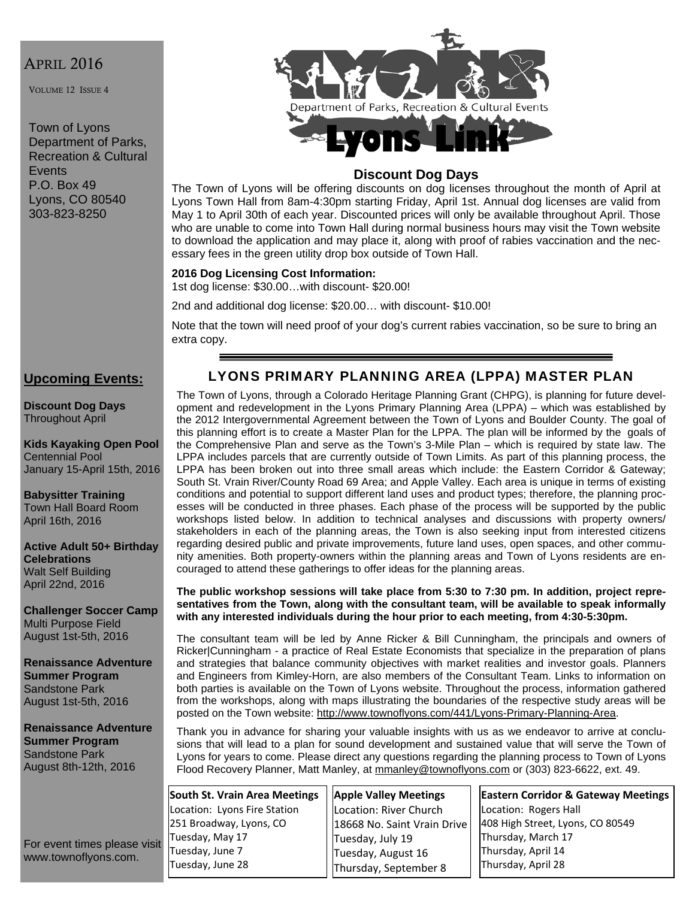# APRIL 2016

VOLUME 12 ISSUE 4

Town of Lyons Department of Parks, Recreation & Cultural **Events** P.O. Box 49 Lyons, CO 80540 303-823-8250



## **Discount Dog Days**

The Town of Lyons will be offering discounts on dog licenses throughout the month of April at Lyons Town Hall from 8am-4:30pm starting Friday, April 1st. Annual dog licenses are valid from May 1 to April 30th of each year. Discounted prices will only be available throughout April. Those who are unable to come into Town Hall during normal business hours may visit the Town website to download the application and may place it, along with proof of rabies vaccination and the necessary fees in the green utility drop box outside of Town Hall.

#### **2016 Dog Licensing Cost Information:**

1st dog license: \$30.00…with discount- \$20.00!

2nd and additional dog license: \$20.00… with discount- \$10.00!

Note that the town will need proof of your dog's current rabies vaccination, so be sure to bring an extra copy.

# **Upcoming Events:**

**Discount Dog Days**  Throughout April

**Kids Kayaking Open Pool**  Centennial Pool January 15-April 15th, 2016

**Babysitter Training**  Town Hall Board Room April 16th, 2016

**Active Adult 50+ Birthday Celebrations**  Walt Self Building April 22nd, 2016

**Challenger Soccer Camp**  Multi Purpose Field August 1st-5th, 2016

**Renaissance Adventure Summer Program**  Sandstone Park August 1st-5th, 2016

**Renaissance Adventure Summer Program**  Sandstone Park August 8th-12th, 2016

For event times please visit www.townoflyons.com.

# LYONS PRIMARY PLANNING AREA (LPPA) MASTER PLAN

The Town of Lyons, through a Colorado Heritage Planning Grant (CHPG), is planning for future development and redevelopment in the Lyons Primary Planning Area (LPPA) – which was established by the 2012 Intergovernmental Agreement between the Town of Lyons and Boulder County. The goal of this planning effort is to create a Master Plan for the LPPA. The plan will be informed by the goals of the Comprehensive Plan and serve as the Town's 3-Mile Plan – which is required by state law. The LPPA includes parcels that are currently outside of Town Limits. As part of this planning process, the LPPA has been broken out into three small areas which include: the Eastern Corridor & Gateway; South St. Vrain River/County Road 69 Area; and Apple Valley. Each area is unique in terms of existing conditions and potential to support different land uses and product types; therefore, the planning processes will be conducted in three phases. Each phase of the process will be supported by the public workshops listed below. In addition to technical analyses and discussions with property owners/ stakeholders in each of the planning areas, the Town is also seeking input from interested citizens regarding desired public and private improvements, future land uses, open spaces, and other community amenities. Both property-owners within the planning areas and Town of Lyons residents are encouraged to attend these gatherings to offer ideas for the planning areas.

**The public workshop sessions will take place from 5:30 to 7:30 pm. In addition, project representatives from the Town, along with the consultant team, will be available to speak informally with any interested individuals during the hour prior to each meeting, from 4:30-5:30pm.** 

The consultant team will be led by Anne Ricker & Bill Cunningham, the principals and owners of Ricker|Cunningham - a practice of Real Estate Economists that specialize in the preparation of plans and strategies that balance community objectives with market realities and investor goals. Planners and Engineers from Kimley-Horn, are also members of the Consultant Team. Links to information on both parties is available on the Town of Lyons website. Throughout the process, information gathered from the workshops, along with maps illustrating the boundaries of the respective study areas will be posted on the Town website: http://www.townoflyons.com/441/Lyons-Primary-Planning-Area.

Thank you in advance for sharing your valuable insights with us as we endeavor to arrive at conclusions that will lead to a plan for sound development and sustained value that will serve the Town of Lyons for years to come. Please direct any questions regarding the planning process to Town of Lyons Flood Recovery Planner, Matt Manley, at mmanley@townoflyons.com or (303) 823-6622, ext. 49.

**South St. Vrain Area Meetings** Location: Lyons Fire Station 251 Broadway, Lyons, CO Tuesday, May 17 Tuesday, June 7 Tuesday, June 28

**Apple Valley Meetings**  Location: River Church 18668 No. Saint Vrain Drive Tuesday, July 19 Tuesday, August 16 Thursday, September 8

**Eastern Corridor & Gateway Meetings** Location: Rogers Hall 408 High Street, Lyons, CO 80549 Thursday, March 17 Thursday, April 14 Thursday, April 28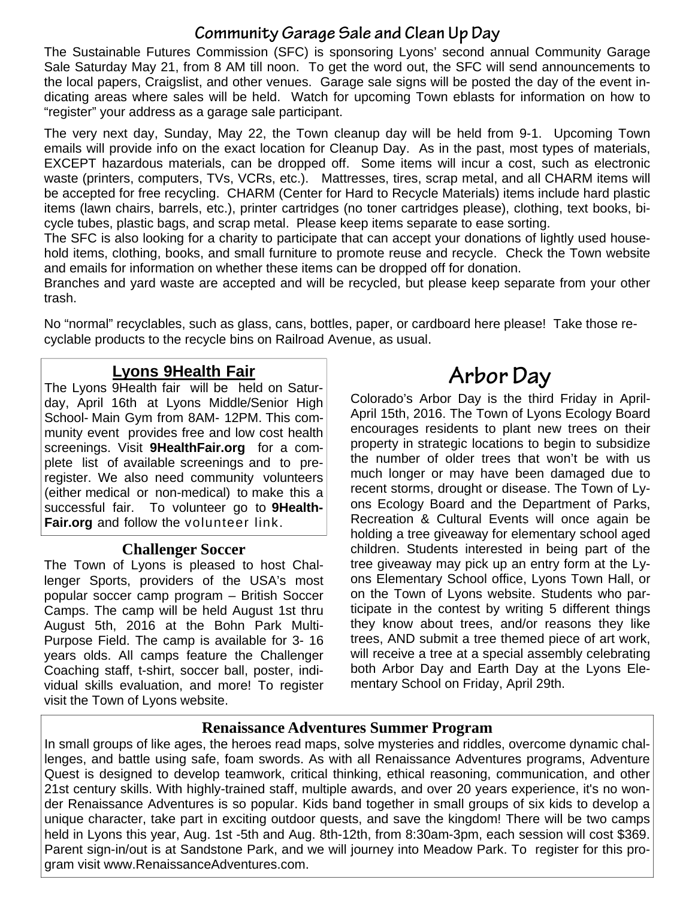# **Community Garage Sale and Clean Up Day**

The Sustainable Futures Commission (SFC) is sponsoring Lyons' second annual Community Garage Sale Saturday May 21, from 8 AM till noon. To get the word out, the SFC will send announcements to the local papers, Craigslist, and other venues. Garage sale signs will be posted the day of the event indicating areas where sales will be held. Watch for upcoming Town eblasts for information on how to "register" your address as a garage sale participant.

The very next day, Sunday, May 22, the Town cleanup day will be held from 9-1. Upcoming Town emails will provide info on the exact location for Cleanup Day. As in the past, most types of materials, EXCEPT hazardous materials, can be dropped off. Some items will incur a cost, such as electronic waste (printers, computers, TVs, VCRs, etc.). Mattresses, tires, scrap metal, and all CHARM items will be accepted for free recycling. CHARM (Center for Hard to Recycle Materials) items include hard plastic items (lawn chairs, barrels, etc.), printer cartridges (no toner cartridges please), clothing, text books, bicycle tubes, plastic bags, and scrap metal. Please keep items separate to ease sorting.

The SFC is also looking for a charity to participate that can accept your donations of lightly used household items, clothing, books, and small furniture to promote reuse and recycle. Check the Town website and emails for information on whether these items can be dropped off for donation.

Branches and yard waste are accepted and will be recycled, but please keep separate from your other trash.

No "normal" recyclables, such as glass, cans, bottles, paper, or cardboard here please! Take those recyclable products to the recycle bins on Railroad Avenue, as usual.

# **Lyons 9Health Fair**

The Lyons 9Health fair will be held on Saturday, April 16th at Lyons Middle/Senior High School- Main Gym from 8AM- 12PM. This community event provides free and low cost health screenings. Visit **9HealthFair.org** for a complete list of available screenings and to preregister. We also need community volunteers (either medical or non-medical) to make this a successful fair. To volunteer go to **9Health-Fair.org** and follow the volunteer link.

#### **Challenger Soccer**

The Town of Lyons is pleased to host Challenger Sports, providers of the USA's most popular soccer camp program – British Soccer Camps. The camp will be held August 1st thru August 5th, 2016 at the Bohn Park Multi-Purpose Field. The camp is available for 3- 16 years olds. All camps feature the Challenger Coaching staff, t-shirt, soccer ball, poster, individual skills evaluation, and more! To register visit the Town of Lyons website.

# **Arbor Day**

Colorado's Arbor Day is the third Friday in April-April 15th, 2016. The Town of Lyons Ecology Board encourages residents to plant new trees on their property in strategic locations to begin to subsidize the number of older trees that won't be with us much longer or may have been damaged due to recent storms, drought or disease. The Town of Lyons Ecology Board and the Department of Parks, Recreation & Cultural Events will once again be holding a tree giveaway for elementary school aged children. Students interested in being part of the tree giveaway may pick up an entry form at the Lyons Elementary School office, Lyons Town Hall, or on the Town of Lyons website. Students who participate in the contest by writing 5 different things they know about trees, and/or reasons they like trees, AND submit a tree themed piece of art work, will receive a tree at a special assembly celebrating both Arbor Day and Earth Day at the Lyons Elementary School on Friday, April 29th.

# **Renaissance Adventures Summer Program**

In small groups of like ages, the heroes read maps, solve mysteries and riddles, overcome dynamic challenges, and battle using safe, foam swords. As with all Renaissance Adventures programs, Adventure Quest is designed to develop teamwork, critical thinking, ethical reasoning, communication, and other 21st century skills. With highly-trained staff, multiple awards, and over 20 years experience, it's no wonder Renaissance Adventures is so popular. Kids band together in small groups of six kids to develop a unique character, take part in exciting outdoor quests, and save the kingdom! There will be two camps held in Lyons this year, Aug. 1st -5th and Aug. 8th-12th, from 8:30am-3pm, each session will cost \$369. Parent sign-in/out is at Sandstone Park, and we will journey into Meadow Park. To register for this program visit www.RenaissanceAdventures.com.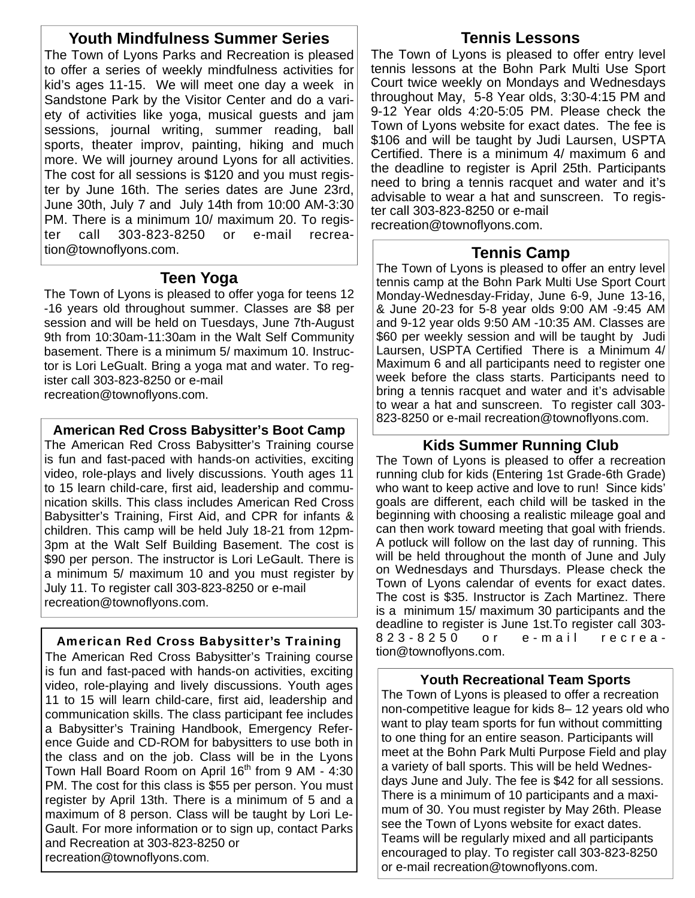# **Youth Mindfulness Summer Series**

The Town of Lyons Parks and Recreation is pleased to offer a series of weekly mindfulness activities for kid's ages 11-15. We will meet one day a week in Sandstone Park by the Visitor Center and do a variety of activities like yoga, musical guests and jam sessions, journal writing, summer reading, ball sports, theater improv, painting, hiking and much more. We will journey around Lyons for all activities. The cost for all sessions is \$120 and you must register by June 16th. The series dates are June 23rd, June 30th, July 7 and July 14th from 10:00 AM-3:30 PM. There is a minimum 10/ maximum 20. To register call 303-823-8250 or e-mail recreation@townoflyons.com.

## **Teen Yoga**

The Town of Lyons is pleased to offer yoga for teens 12 -16 years old throughout summer. Classes are \$8 per session and will be held on Tuesdays, June 7th-August 9th from 10:30am-11:30am in the Walt Self Community basement. There is a minimum 5/ maximum 10. Instructor is Lori LeGualt. Bring a yoga mat and water. To register call 303-823-8250 or e-mail recreation@townoflyons.com.

#### **American Red Cross Babysitter's Boot Camp**

The American Red Cross Babysitter's Training course is fun and fast-paced with hands-on activities, exciting video, role-plays and lively discussions. Youth ages 11 to 15 learn child-care, first aid, leadership and communication skills. This class includes American Red Cross Babysitter's Training, First Aid, and CPR for infants & children. This camp will be held July 18-21 from 12pm-3pm at the Walt Self Building Basement. The cost is \$90 per person. The instructor is Lori LeGault. There is a minimum 5/ maximum 10 and you must register by July 11. To register call 303-823-8250 or e-mail recreation@townoflyons.com.

#### American Red Cross Babysitter's Training

The American Red Cross Babysitter's Training course is fun and fast-paced with hands-on activities, exciting video, role-playing and lively discussions. Youth ages 11 to 15 will learn child-care, first aid, leadership and communication skills. The class participant fee includes a Babysitter's Training Handbook, Emergency Reference Guide and CD-ROM for babysitters to use both in the class and on the job. Class will be in the Lyons Town Hall Board Room on April  $16<sup>th</sup>$  from 9 AM - 4:30 PM. The cost for this class is \$55 per person. You must register by April 13th. There is a minimum of 5 and a maximum of 8 person. Class will be taught by Lori Le-Gault. For more information or to sign up, contact Parks and Recreation at 303-823-8250 or recreation@townoflyons.com.

# **Tennis Lessons**

The Town of Lyons is pleased to offer entry level tennis lessons at the Bohn Park Multi Use Sport Court twice weekly on Mondays and Wednesdays throughout May, 5-8 Year olds, 3:30-4:15 PM and 9-12 Year olds 4:20-5:05 PM. Please check the Town of Lyons website for exact dates. The fee is \$106 and will be taught by Judi Laursen, USPTA Certified. There is a minimum 4/ maximum 6 and the deadline to register is April 25th. Participants need to bring a tennis racquet and water and it's advisable to wear a hat and sunscreen. To register call 303-823-8250 or e-mail recreation@townoflyons.com.

# **Tennis Camp**

The Town of Lyons is pleased to offer an entry level tennis camp at the Bohn Park Multi Use Sport Court Monday-Wednesday-Friday, June 6-9, June 13-16, & June 20-23 for 5-8 year olds 9:00 AM -9:45 AM and 9-12 year olds 9:50 AM -10:35 AM. Classes are \$60 per weekly session and will be taught by Judi Laursen, USPTA Certified There is a Minimum 4/ Maximum 6 and all participants need to register one week before the class starts. Participants need to bring a tennis racquet and water and it's advisable to wear a hat and sunscreen. To register call 303- 823-8250 or e-mail recreation@townoflyons.com.

## **Kids Summer Running Club**

The Town of Lyons is pleased to offer a recreation running club for kids (Entering 1st Grade-6th Grade) who want to keep active and love to run! Since kids' goals are different, each child will be tasked in the beginning with choosing a realistic mileage goal and can then work toward meeting that goal with friends. A potluck will follow on the last day of running. This will be held throughout the month of June and July on Wednesdays and Thursdays. Please check the Town of Lyons calendar of events for exact dates. The cost is \$35. Instructor is Zach Martinez. There is a minimum 15/ maximum 30 participants and the deadline to register is June 1st.To register call 303- 823-8250 or e-mail recreation@townoflyons.com.

#### **Youth Recreational Team Sports**

The Town of Lyons is pleased to offer a recreation non-competitive league for kids 8– 12 years old who want to play team sports for fun without committing to one thing for an entire season. Participants will meet at the Bohn Park Multi Purpose Field and play a variety of ball sports. This will be held Wednesdays June and July. The fee is \$42 for all sessions. There is a minimum of 10 participants and a maximum of 30. You must register by May 26th. Please see the Town of Lyons website for exact dates. Teams will be regularly mixed and all participants encouraged to play. To register call 303-823-8250 or e-mail recreation@townoflyons.com.